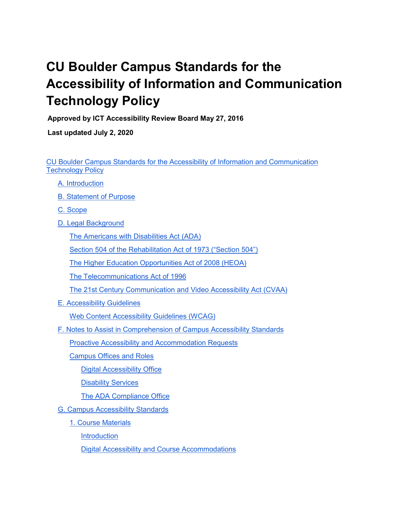# <span id="page-0-0"></span>**CU Boulder Campus Standards for the Accessibility of Information and Communication Technology Policy**

**Approved by ICT Accessibility Review Board May 27, 2016**

**Last updated July 2, 2020**

[CU Boulder Campus Standards for the Accessibility of Information and Communication](#page-0-0)  [Technology Policy](#page-0-0)

- [A. Introduction](#page-2-0)
- [B. Statement of Purpose](#page-2-1)
- [C. Scope](#page-2-2)
- [D. Legal Background](#page-2-3)

[The Americans with Disabilities Act \(ADA\)](#page-2-4)

[Section 504 of the Rehabilitation Act of 1973 \("Section 504"\)](#page-3-0)

The Higher Education Opportunities Act of 2008 (HEOA)

[The Telecommunications Act of 1996](#page-3-1)

[The 21st Century Communication and Video Accessibility Act \(CVAA\)](#page-3-2)

[E. Accessibility Guidelines](#page-3-3)

[Web Content Accessibility Guidelines \(WCAG\)](#page-3-4)

[F. Notes to Assist in Comprehension of Campus Accessibility Standards](#page-4-0)

[Proactive Accessibility and Accommodation Requests](#page-4-1)

[Campus Offices and Roles](#page-4-2)

[Digital Accessibility Office](#page-4-3)

[Disability Services](#page-4-4)

[The ADA Compliance Office](#page-4-5)

- [G. Campus Accessibility Standards](#page-5-0)
	- [1. Course Materials](#page-5-1)

[Introduction](#page-5-2)

[Digital Accessibility and Course Accommodations](#page-5-3)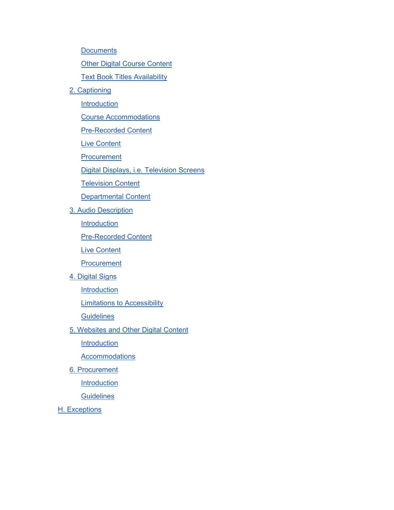**[Documents](#page-6-0)** 

**[Other Digital Course Content](#page-6-1)** 

**[Text Book Titles Availability](#page-7-0)** 

[2. Captioning](#page-8-0)

**[Introduction](#page-8-1)** 

[Course Accommodations](#page-8-2)

[Pre-Recorded Content](#page-8-3)

[Live Content](#page-9-0)

**[Procurement](#page-9-1)** 

[Digital Displays, i.e. Television Screens](#page-9-2)

[Television Content](#page-9-3)

[Departmental Content](#page-9-4)

[3. Audio Description](#page-9-5)

**[Introduction](#page-9-6)** 

[Pre-Recorded Content](#page-10-0)

[Live Content](#page-10-1)

**[Procurement](#page-10-2)** 

[4. Digital Signs](#page-10-3)

**[Introduction](#page-10-4)** 

[Limitations to Accessibility](#page-10-5)

**[Guidelines](#page-11-0)** 

[5. Websites and Other Digital Content](#page-11-1)

**[Introduction](#page-11-2)** 

**[Accommodations](#page-11-3)** 

[6. Procurement](#page-12-0)

**[Introduction](#page-12-1)** 

**[Guidelines](#page-12-2)** 

[H. Exceptions](#page-13-0)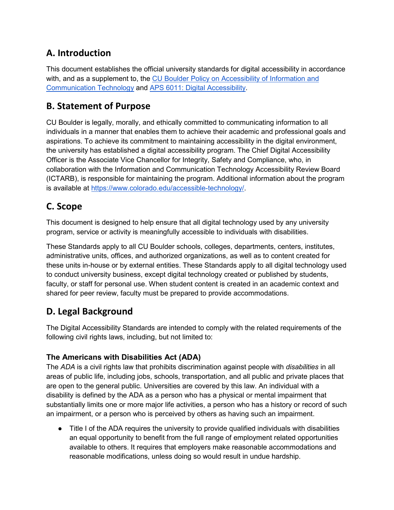# <span id="page-2-0"></span>**A. Introduction**

This document establishes the official university standards for digital accessibility in accordance with, and as a supplement to, the CU Boulder Policy on Accessibility of Information and [Communication Technology](https://www.colorado.edu/policies/accessibility-information-communication-technology) and [APS 6011: Digital Accessibility.](https://www.cu.edu/ope/aps/6011)

## <span id="page-2-1"></span>**B. Statement of Purpose**

CU Boulder is legally, morally, and ethically committed to communicating information to all individuals in a manner that enables them to achieve their academic and professional goals and aspirations. To achieve its commitment to maintaining accessibility in the digital environment, the university has established a digital accessibility program. The Chief Digital Accessibility Officer is the Associate Vice Chancellor for Integrity, Safety and Compliance, who, in collaboration with the Information and Communication Technology Accessibility Review Board (ICTARB), is responsible for maintaining the program. Additional information about the program is available at [https://www.colorado.edu/accessible-technology/.](https://www.colorado.edu/accessible-technology/)

# <span id="page-2-2"></span>**C. Scope**

This document is designed to help ensure that all digital technology used by any university program, service or activity is meaningfully accessible to individuals with disabilities.

These Standards apply to all CU Boulder schools, colleges, departments, centers, institutes, administrative units, offices, and authorized organizations, as well as to content created for these units in-house or by external entities. These Standards apply to all digital technology used to conduct university business, except digital technology created or published by students, faculty, or staff for personal use. When student content is created in an academic context and shared for peer review, faculty must be prepared to provide accommodations.

# <span id="page-2-3"></span>**D. Legal Background**

The Digital Accessibility Standards are intended to comply with the related requirements of the following civil rights laws, including, but not limited to:

### <span id="page-2-4"></span>**The Americans with Disabilities Act (ADA)**

The *ADA* is a civil rights law that prohibits discrimination against people with *disabilities* in all areas of public life, including jobs, schools, transportation, and all public and private places that are open to the general public. Universities are covered by this law. An individual with a disability is defined by the ADA as a person who has a physical or mental impairment that substantially limits one or more major life activities, a person who has a history or record of such an impairment, or a person who is perceived by others as having such an impairment.

● Title I of the ADA requires the university to provide qualified individuals with disabilities an equal opportunity to benefit from the full range of employment related opportunities available to others. It requires that employers make reasonable accommodations and reasonable modifications, unless doing so would result in undue hardship.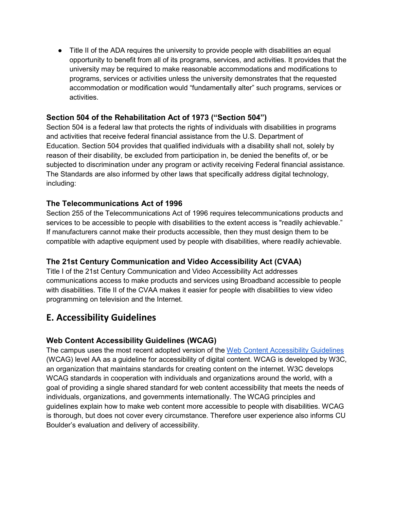• Title II of the ADA requires the university to provide people with disabilities an equal opportunity to benefit from all of its programs, services, and activities. It provides that the university may be required to make reasonable accommodations and modifications to programs, services or activities unless the university demonstrates that the requested accommodation or modification would "fundamentally alter" such programs, services or activities.

### <span id="page-3-0"></span>**Section 504 of the Rehabilitation Act of 1973 ("Section 504")**

Section 504 is a federal law that protects the rights of individuals with disabilities in programs and activities that receive federal financial assistance from the U.S. Department of Education. Section 504 provides that qualified individuals with a disability shall not, solely by reason of their disability, be excluded from participation in, be denied the benefits of, or be subjected to discrimination under any program or activity receiving Federal financial assistance. The Standards are also informed by other laws that specifically address digital technology, including:

### <span id="page-3-1"></span>**The Telecommunications Act of 1996**

Section 255 of the Telecommunications Act of 1996 requires telecommunications products and services to be accessible to people with disabilities to the extent access is "readily achievable." If manufacturers cannot make their products accessible, then they must design them to be compatible with adaptive equipment used by people with disabilities, where readily achievable.

### <span id="page-3-2"></span>**The 21st Century Communication and Video Accessibility Act (CVAA)**

Title I of the 21st Century Communication and Video Accessibility Act addresses communications access to make products and services using Broadband accessible to people with disabilities. Title II of the CVAA makes it easier for people with disabilities to view video programming on television and the Internet.

# <span id="page-3-3"></span>**E. Accessibility Guidelines**

### <span id="page-3-4"></span>**Web Content Accessibility Guidelines (WCAG)**

The campus uses the most recent adopted version of the [Web Content Accessibility Guidelines](https://www.w3.org/WAI/standards-guidelines/wcag/) (WCAG) level AA as a guideline for accessibility of digital content. WCAG is developed by W3C, an organization that maintains standards for creating content on the internet. W3C develops WCAG standards in cooperation with individuals and organizations around the world, with a goal of providing a single shared standard for web content accessibility that meets the needs of individuals, organizations, and governments internationally. The WCAG principles and guidelines explain how to make web content more accessible to people with disabilities. WCAG is thorough, but does not cover every circumstance. Therefore user experience also informs CU Boulder's evaluation and delivery of accessibility.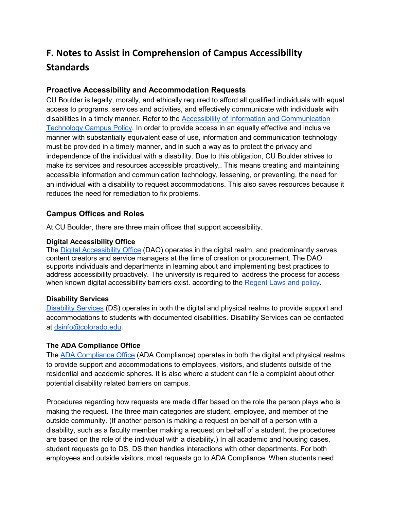# <span id="page-4-0"></span>**F. Notes to Assist in Comprehension of Campus Accessibility Standards**

### <span id="page-4-1"></span>**Proactive Accessibility and Accommodation Requests**

CU Boulder is legally, morally, and ethically required to afford all qualified individuals with equal access to programs, services and activities, and effectively communicate with individuals with disabilities in a timely manner. Refer to the [Accessibility of Information and Communication](https://www.colorado.edu/policies/accessibility-information-communication-technology)  [Technology Campus Policy.](https://www.colorado.edu/policies/accessibility-information-communication-technology) In order to provide access in an equally effective and inclusive manner with substantially equivalent ease of use, information and communication technology must be provided in a timely manner, and in such a way as to protect the privacy and independence of the individual with a disability. Due to this obligation, CU Boulder strives to make its services and resources accessible proactively,. This means creating and maintaining accessible information and communication technology, lessening, or preventing, the need for an individual with a disability to request accommodations. This also saves resources because it reduces the need for remediation to fix problems.

#### <span id="page-4-2"></span>**Campus Offices and Roles**

At CU Boulder, there are three main offices that support accessibility.

#### <span id="page-4-3"></span>**Digital Accessibility Office**

The [Digital Accessibility Office](https://www.colorado.edu/accessible-technology/) (DAO) operates in the digital realm, and predominantly serves content creators and service managers at the time of creation or procurement. The DAO supports individuals and departments in learning about and implementing best practices to address accessibility proactively. The university is required to address the process for access when known digital accessibility barriers exist. according to the [Regent](https://www.cu.edu/ope/aps/6011) [Laws and policy.](https://www.cu.edu/ope/aps/6011)

#### <span id="page-4-4"></span>**Disability Services**

[Disability Services](https://www.colorado.edu/disabilityservices/) (DS) operates in both the digital and physical realms to provide support and accommodations to students with documented disabilities. Disability Services can be contacted at [dsinfo@colorado.edu.](mailto:dsinfo@colorado.edu)

#### <span id="page-4-5"></span>**The ADA Compliance Office**

The [ADA Compliance Office](https://www.colorado.edu/oiec/ada-accessibility) (ADA Compliance) operates in both the digital and physical realms to provide support and accommodations to employees, visitors, and students outside of the residential and academic spheres. It is also where a student can file a complaint about other potential disability related barriers on campus.

Procedures regarding how requests are made differ based on the role the person plays who is making the request. The three main categories are student, employee, and member of the outside community. (If another person is making a request on behalf of a person with a disability, such as a faculty member making a request on behalf of a student, the procedures are based on the role of the individual with a disability.) In all academic and housing cases, student requests go to DS, DS then handles interactions with other departments. For both employees and outside visitors, most requests go to ADA Compliance. When students need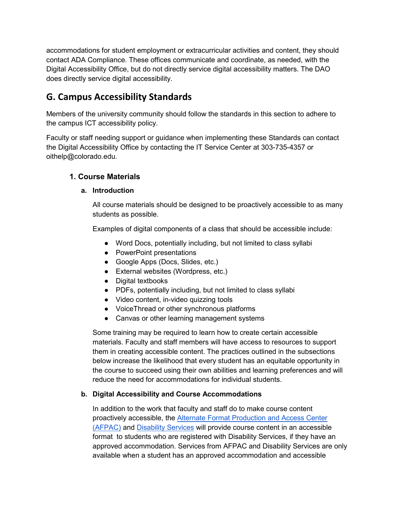accommodations for student employment or extracurricular activities and content, they should contact ADA Compliance. These offices communicate and coordinate, as needed, with the Digital Accessibility Office, but do not directly service digital accessibility matters. The DAO does directly service digital accessibility.

# <span id="page-5-0"></span>**G. Campus Accessibility Standards**

Members of the university community should follow the standards in this section to adhere to the campus ICT accessibility policy.

Faculty or staff needing support or guidance when implementing these Standards can contact the Digital Accessibility Office by contacting the IT Service Center at 303-735-4357 or oithelp@colorado.edu.

### <span id="page-5-2"></span><span id="page-5-1"></span>**1. Course Materials**

#### **a. Introduction**

All course materials should be designed to be proactively accessible to as many students as possible.

Examples of digital components of a class that should be accessible include:

- Word Docs, potentially including, but not limited to class syllabi
- PowerPoint presentations
- Google Apps (Docs, Slides, etc.)
- External websites (Wordpress, etc.)
- Digital textbooks
- PDFs, potentially including, but not limited to class syllabi
- Video content, in-video quizzing tools
- VoiceThread or other synchronous platforms
- Canvas or other learning management systems

Some training may be required to learn how to create certain accessible materials. Faculty and staff members will have access to resources to support them in creating accessible content. The practices outlined in the subsections below increase the likelihood that every student has an equitable opportunity in the course to succeed using their own abilities and learning preferences and will reduce the need for accommodations for individual students.

#### <span id="page-5-3"></span>**b. Digital Accessibility and Course Accommodations**

In addition to the work that faculty and staff do to make course content proactively accessible, the [Alternate Format Production and Access Center](https://www.colorado.edu/disabilityservices/students/alternate-format-production-and-access-center)  [\(AFPAC\)](https://www.colorado.edu/disabilityservices/students/alternate-format-production-and-access-center) and [Disability Services](https://www.colorado.edu/disabilityservices/) will provide course content in an accessible format to students who are registered with Disability Services, if they have an approved accommodation. Services from AFPAC and Disability Services are only available when a student has an approved accommodation and accessible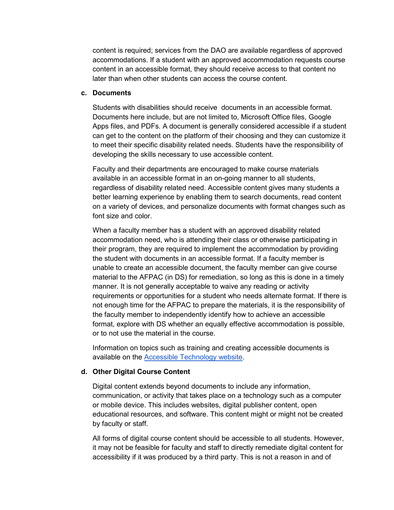content is required; services from the DAO are available regardless of approved accommodations. If a student with an approved accommodation requests course content in an accessible format, they should receive access to that content no later than when other students can access the course content.

#### <span id="page-6-0"></span>**c. Documents**

Students with disabilities should receive documents in an accessible format. Documents here include, but are not limited to, Microsoft Office files, Google Apps files, and PDFs. A document is generally considered accessible if a student can get to the content on the platform of their choosing and they can customize it to meet their specific disability related needs. Students have the responsibility of developing the skills necessary to use accessible content.

Faculty and their departments are encouraged to make course materials available in an accessible format in an on-going manner to all students, regardless of disability related need. Accessible content gives many students a better learning experience by enabling them to search documents, read content on a variety of devices, and personalize documents with format changes such as font size and color.

When a faculty member has a student with an approved disability related accommodation need, who is attending their class or otherwise participating in their program, they are required to implement the accommodation by providing the student with documents in an accessible format. If a faculty member is unable to create an accessible document, the faculty member can give course material to the AFPAC (in DS) for remediation, so long as this is done in a timely manner. It is not generally acceptable to waive any reading or activity requirements or opportunities for a student who needs alternate format. If there is not enough time for the AFPAC to prepare the materials, it is the responsibility of the faculty member to independently identify how to achieve an accessible format, explore with DS whether an equally effective accommodation is possible, or to not use the material in the course.

Information on topics such as training and creating accessible documents is available on the **Accessible Technology website**.

#### <span id="page-6-1"></span>**d. Other Digital Course Content**

Digital content extends beyond documents to include any information, communication, or activity that takes place on a technology such as a computer or mobile device. This includes websites, digital publisher content, open educational resources, and software. This content might or might not be created by faculty or staff.

All forms of digital course content should be accessible to all students. However, it may not be feasible for faculty and staff to directly remediate digital content for accessibility if it was produced by a third party. This is not a reason in and of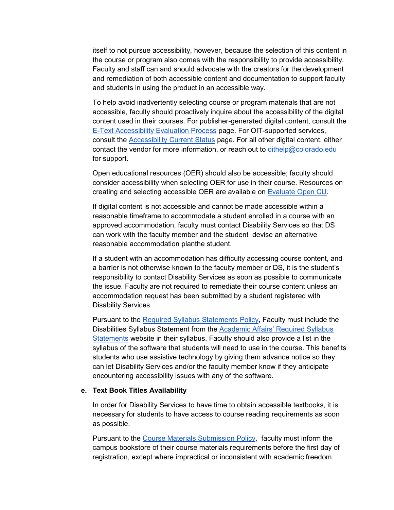itself to not pursue accessibility, however, because the selection of this content in the course or program also comes with the responsibility to provide accessibility. Faculty and staff can and should advocate with the creators for the development and remediation of both accessible content and documentation to support faculty and students in using the product in an accessible way.

To help avoid inadvertently selecting course or program materials that are not accessible, faculty should proactively inquire about the accessibility of the digital content used in their courses. For publisher-generated digital content, consult the [E-Text Accessibility Evaluation Process](https://www.colorado.edu/accessibility/resources/accessibility-educators/e-text-accessibility-evaluation-process) page. For OIT-supported services, consult the [Accessibility Current Status](https://www.colorado.edu/accessibility/current-status) page. For all other digital content, either contact the vendor for more information, or reach out to [oithelp@colorado.edu](mailto:oithelp@colorado.edu)  for support.

Open educational resources (OER) should also be accessible; faculty should consider accessibility when selecting OER for use in their course. Resources on creating and selecting accessible OER are available on [Evaluate Open CU.](https://libguides.colorado.edu/oer/evaluate)

If digital content is not accessible and cannot be made accessible within a reasonable timeframe to accommodate a student enrolled in a course with an approved accommodation, faculty must contact Disability Services so that DS can work with the faculty member and the student devise an alternative reasonable accommodation planthe student.

If a student with an accommodation has difficulty accessing course content, and a barrier is not otherwise known to the faculty member or DS, it is the student's responsibility to contact Disability Services as soon as possible to communicate the issue. Faculty are not required to remediate their course content unless an accommodation request has been submitted by a student registered with Disability Services.

Pursuant to the [Required Syllabus Statements Policy,](https://www.colorado.edu/academicaffairs/policies-customs-guidelines/required-syllabus-statements) Faculty must include the Disabilities Syllabus Statement from the [Academic Affairs' Required Syllabus](https://www.colorado.edu/academicaffairs/policies-customs-guidelines/required-syllabus-statements)  [Statements](https://www.colorado.edu/academicaffairs/policies-customs-guidelines/required-syllabus-statements) website in their syllabus. Faculty should also provide a list in the syllabus of the software that students will need to use in the course. This benefits students who use assistive technology by giving them advance notice so they can let Disability Services and/or the faculty member know if they anticipate encountering accessibility issues with any of the software.

#### <span id="page-7-0"></span>**e. Text Book Titles Availability**

In order for Disability Services to have time to obtain accessible textbooks, it is necessary for students to have access to course reading requirements as soon as possible.

Pursuant to the [Course Materials Submission Policy,](https://www.colorado.edu/academicaffairs/course-materials-submission-policy) faculty must inform the campus bookstore of their course materials requirements before the first day of registration, except where impractical or inconsistent with academic freedom.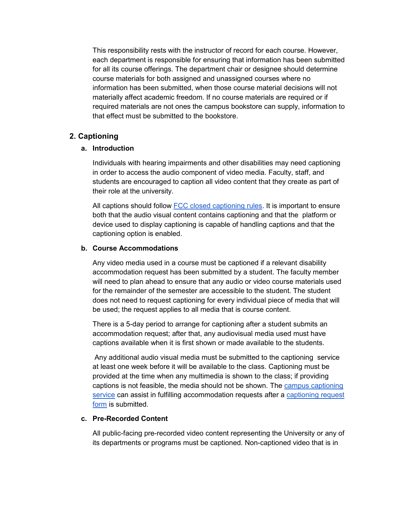This responsibility rests with the instructor of record for each course. However, each department is responsible for ensuring that information has been submitted for all its course offerings. The department chair or designee should determine course materials for both assigned and unassigned courses where no information has been submitted, when those course material decisions will not materially affect academic freedom. If no course materials are required or if required materials are not ones the campus bookstore can supply, information to that effect must be submitted to the bookstore.

### <span id="page-8-1"></span><span id="page-8-0"></span>**2. Captioning**

#### **a. Introduction**

Individuals with hearing impairments and other disabilities may need captioning in order to access the audio component of video media. Faculty, staff, and students are encouraged to caption all video content that they create as part of their role at the university.

All captions should follow [FCC closed captioning rules.](https://www.fcc.gov/consumers/guides/closed-captioning-television) It is important to ensure both that the audio visual content contains captioning and that the platform or device used to display captioning is capable of handling captions and that the captioning option is enabled.

#### <span id="page-8-2"></span>**b. Course Accommodations**

Any video media used in a course must be captioned if a relevant disability accommodation request has been submitted by a student. The faculty member will need to plan ahead to ensure that any audio or video course materials used for the remainder of the semester are accessible to the student. The student does not need to request captioning for every individual piece of media that will be used; the request applies to all media that is course content.

There is a 5-day period to arrange for captioning after a student submits an accommodation request; after that, any audiovisual media used must have captions available when it is first shown or made available to the students.

Any additional audio visual media must be submitted to the captioning service at least one week before it will be available to the class. Captioning must be provided at the time when any multimedia is shown to the class; if providing captions is not feasible, the media should not be shown. The [campus captioning](http://oit.colorado.edu/captioning)  [service](http://oit.colorado.edu/captioning) can assist in fulfilling accommodation requests after a [captioning request](http://www.colorado.edu/oit/node/15577/)  [form](http://www.colorado.edu/oit/node/15577/) is submitted.

#### <span id="page-8-3"></span>**c. Pre-Recorded Content**

All public-facing pre-recorded video content representing the University or any of its departments or programs must be captioned. Non-captioned video that is in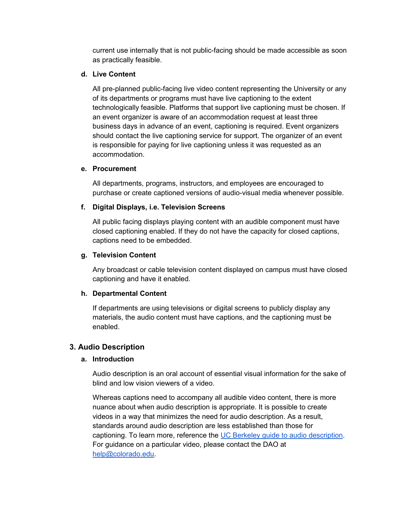current use internally that is not public-facing should be made accessible as soon as practically feasible.

#### <span id="page-9-0"></span>**d. Live Content**

All pre-planned public-facing live video content representing the University or any of its departments or programs must have live captioning to the extent technologically feasible. Platforms that support live captioning must be chosen. If an event organizer is aware of an accommodation request at least three business days in advance of an event, captioning is required. Event organizers should contact the live captioning service for support. The organizer of an event is responsible for paying for live captioning unless it was requested as an accommodation.

#### <span id="page-9-1"></span>**e. Procurement**

All departments, programs, instructors, and employees are encouraged to purchase or create captioned versions of audio-visual media whenever possible.

#### <span id="page-9-2"></span>**f. Digital Displays, i.e. Television Screens**

All public facing displays playing content with an audible component must have closed captioning enabled. If they do not have the capacity for closed captions, captions need to be embedded.

#### <span id="page-9-3"></span>**g. Television Content**

Any broadcast or cable television content displayed on campus must have closed captioning and have it enabled.

#### <span id="page-9-4"></span>**h. Departmental Content**

If departments are using televisions or digital screens to publicly display any materials, the audio content must have captions, and the captioning must be enabled.

#### <span id="page-9-6"></span><span id="page-9-5"></span>**3. Audio Description**

#### **a. Introduction**

Audio description is an oral account of essential visual information for the sake of blind and low vision viewers of a video.

Whereas captions need to accompany all audible video content, there is more nuance about when audio description is appropriate. It is possible to create videos in a way that minimizes the need for audio description. As a result, standards around audio description are less established than those for captioning. To learn more, reference the [UC Berkeley guide to audio description.](https://webaccess.berkeley.edu/resources/tips/audio-description) For guidance on a particular video, please contact the DAO at [help@colorado.edu.](mailto:help@colorado.edu)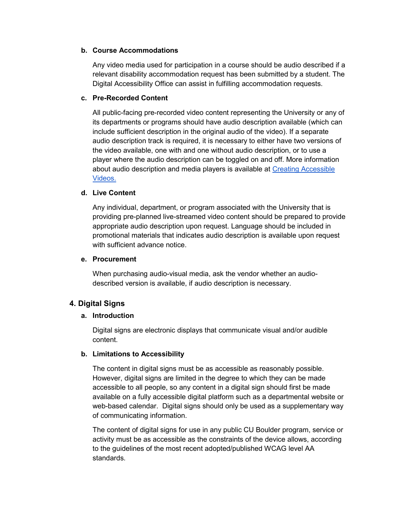#### **b. Course Accommodations**

Any video media used for participation in a course should be audio described if a relevant disability accommodation request has been submitted by a student. The Digital Accessibility Office can assist in fulfilling accommodation requests.

#### <span id="page-10-0"></span>**c. Pre-Recorded Content**

All public-facing pre-recorded video content representing the University or any of its departments or programs should have audio description available (which can include sufficient description in the original audio of the video). If a separate audio description track is required, it is necessary to either have two versions of the video available, one with and one without audio description, or to use a player where the audio description can be toggled on and off. More information about audio description and media players is available at [Creating Accessible](https://www.colorado.edu/accessible-technology/creating-accessible-videos)  [Videos](https://www.colorado.edu/accessible-technology/creating-accessible-videos)[.](https://www.colorado.edu/accessible-technology/resources) 

#### <span id="page-10-1"></span>**d. Live Content**

Any individual, department, or program associated with the University that is providing pre-planned live-streamed video content should be prepared to provide appropriate audio description upon request. Language should be included in promotional materials that indicates audio description is available upon request with sufficient advance notice.

#### <span id="page-10-2"></span>**e. Procurement**

When purchasing audio-visual media, ask the vendor whether an audiodescribed version is available, if audio description is necessary.

#### <span id="page-10-4"></span><span id="page-10-3"></span>**4. Digital Signs**

#### **a. Introduction**

Digital signs are electronic displays that communicate visual and/or audible content.

#### <span id="page-10-5"></span>**b. Limitations to Accessibility**

The content in digital signs must be as accessible as reasonably possible. However, digital signs are limited in the degree to which they can be made accessible to all people, so any content in a digital sign should first be made available on a fully accessible digital platform such as a departmental website or web-based calendar. Digital signs should only be used as a supplementary way of communicating information.

The content of digital signs for use in any public CU Boulder program, service or activity must be as accessible as the constraints of the device allows, according to the guidelines of the most recent adopted/published WCAG level AA standards.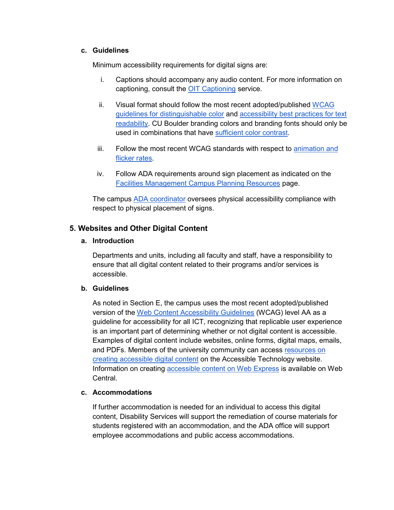#### <span id="page-11-0"></span>**c. Guidelines**

Minimum accessibility requirements for digital signs are:

- i. Captions should accompany any audio content. For more information on captioning, consult the [OIT Captioning](https://oit.colorado.edu/services/consulting-professional-services/captioning) service.
- ii. Visual format should follow the most recent adopted/published [WCAG](https://www.w3.org/WAI/WCAG21/quickref/#distinguishable)  [guidelines for distinguishable color](https://www.w3.org/WAI/WCAG21/quickref/#distinguishable) and [accessibility best practices for text](https://webaim.org/techniques/fonts)  [readability.](https://webaim.org/techniques/fonts) CU Boulder branding colors and branding fonts should only be used in combinations that have [sufficient color contrast.](https://www.colorado.edu/accessible-technology/color-combinations)
- iii. Follow the most recent WCAG standards with respect to animation and [flicker rates.](https://www.w3.org/TR/WCAG21/#seizures-and-physical-reactions)
- iv. Follow ADA requirements around sign placement as indicated on the [Facilities Management Campus Planning Resources](https://www.colorado.edu/campusplanning/resources) page.

The campus [ADA coordinator](https://www.colorado.edu/oiec/ada-accessibility) oversees physical accessibility compliance with respect to physical placement of signs.

#### <span id="page-11-2"></span><span id="page-11-1"></span>**5. Websites and Other Digital Content**

#### **a. Introduction**

Departments and units, including all faculty and staff, have a responsibility to ensure that all digital content related to their programs and/or services is accessible.

#### **b. Guidelines**

As noted in Section E, the campus uses the most recent adopted/published version of the [Web Content Accessibility Guidelines](https://www.w3.org/WAI/standards-guidelines/wcag/) (WCAG) level AA as a guideline for accessibility for all ICT, recognizing that replicable user experience is an important part of determining whether or not digital content is accessible. Examples of digital content include websites, online forms, digital maps, emails, and PDFs. Members of the university community can access resources on [creating accessible digital content](https://www.colorado.edu/accessibility/resources) on the Accessible Technology website. Information on creating [accessible content on Web Express](https://www.colorado.edu/webcentral/tutorials/getting-started/accessibility) is available on Web Central.

#### <span id="page-11-3"></span>**c. Accommodations**

If further accommodation is needed for an individual to access this digital content, Disability Services will support the remediation of course materials for students registered with an accommodation, and the ADA office will support employee accommodations and public access accommodations.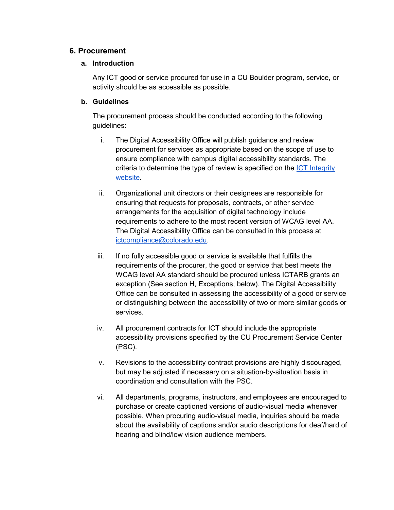#### <span id="page-12-1"></span><span id="page-12-0"></span>**6. Procurement**

#### **a. Introduction**

Any ICT good or service procured for use in a CU Boulder program, service, or activity should be as accessible as possible.

#### <span id="page-12-2"></span>**b. Guidelines**

The procurement process should be conducted according to the following guidelines:

- i. The Digital Accessibility Office will publish guidance and review procurement for services as appropriate based on the scope of use to ensure compliance with campus digital accessibility standards. The criteria to determine the type of review is specified on the [ICT Integrity](https://www.colorado.edu/ictintegrity/)  [website.](https://www.colorado.edu/ictintegrity/)
- ii. Organizational unit directors or their designees are responsible for ensuring that requests for proposals, contracts, or other service arrangements for the acquisition of digital technology include requirements to adhere to the most recent version of WCAG level AA. The Digital Accessibility Office can be consulted in this process at [ictcompliance@colorado.edu.](mailto:ictcompliance@colorado.edu)
- iii. If no fully accessible good or service is available that fulfills the requirements of the procurer, the good or service that best meets the WCAG level AA standard should be procured unless ICTARB grants an exception (See section H, Exceptions, below). The Digital Accessibility Office can be consulted in assessing the accessibility of a good or service or distinguishing between the accessibility of two or more similar goods or services.
- iv. All procurement contracts for ICT should include the appropriate accessibility provisions specified by the CU Procurement Service Center (PSC).
- v. Revisions to the accessibility contract provisions are highly discouraged, but may be adjusted if necessary on a situation-by-situation basis in coordination and consultation with the PSC.
- vi. All departments, programs, instructors, and employees are encouraged to purchase or create captioned versions of audio-visual media whenever possible. When procuring audio-visual media, inquiries should be made about the availability of captions and/or audio descriptions for deaf/hard of hearing and blind/low vision audience members.